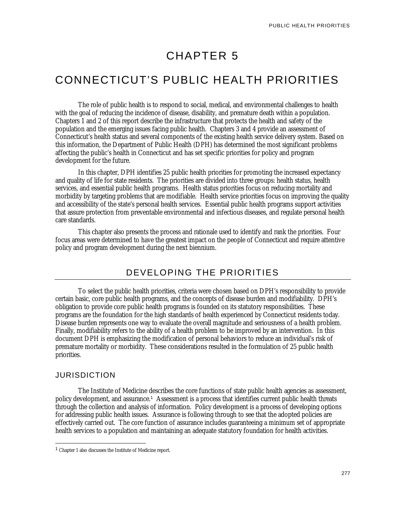# CHAPTER 5

# CONNECTICUT'S PUBLIC HEALTH PRIORITIES

The role of public health is to respond to social, medical, and environmental challenges to health with the goal of reducing the incidence of disease, disability, and premature death within a population. Chapters 1 and 2 of this report describe the infrastructure that protects the health and safety of the population and the emerging issues facing public health. Chapters 3 and 4 provide an assessment of Connecticut's health status and several components of the existing health service delivery system. Based on this information, the Department of Public Health (DPH) has determined the most significant problems affecting the public's health in Connecticut and has set specific priorities for policy and program development for the future.

In this chapter, DPH identifies 25 public health priorities for promoting the increased expectancy and quality of life for state residents. The priorities are divided into three groups: health status, health services, and essential public health programs. Health status priorities focus on reducing mortality and morbidity by targeting problems that are modifiable. Health service priorities focus on improving the quality and accessibility of the state's personal health services. Essential public health programs support activities that assure protection from preventable environmental and infectious diseases, and regulate personal health care standards.

This chapter also presents the process and rationale used to identify and rank the priorities. Four focus areas were determined to have the greatest impact on the people of Connecticut and require attentive policy and program development during the next biennium.

## DEVELOPING THE PRIORITIES

To select the public health priorities, criteria were chosen based on DPH's responsibility to provide certain basic, core public health programs, and the concepts of disease burden and modifiability. DPH's obligation to provide core public health programs is founded on its statutory responsibilities. These programs are the foundation for the high standards of health experienced by Connecticut residents today. Disease burden represents one way to evaluate the overall magnitude and seriousness of a health problem. Finally, modifiability refers to the ability of a health problem to be improved by an intervention. In this document DPH is emphasizing the modification of personal behaviors to reduce an individual's risk of premature mortality or morbidity. These considerations resulted in the formulation of 25 public health priorities.

#### JURISDICTION

<u>.</u>

The Institute of Medicine describes the core functions of state public health agencies as assessment, policy development, and assurance.<sup>1</sup> Assessment is a process that identifies current public health threats through the collection and analysis of information. Policy development is a process of developing options for addressing public health issues. Assurance is following through to see that the adopted policies are effectively carried out. The core function of assurance includes guaranteeing a minimum set of appropriate health services to a population and maintaining an adequate statutory foundation for health activities.

<sup>1</sup> Chapter 1 also discusses the Institute of Medicine report.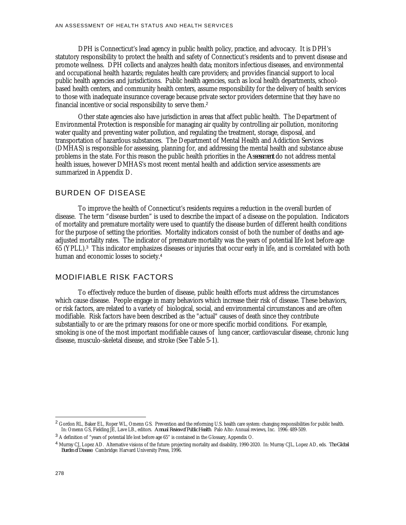DPH is Connecticut's lead agency in public health policy, practice, and advocacy. It is DPH's statutory responsibility to protect the health and safety of Connecticut's residents and to prevent disease and promote wellness. DPH collects and analyzes health data; monitors infectious diseases, and environmental and occupational health hazards; regulates health care providers; and provides financial support to local public health agencies and jurisdictions. Public health agencies, such as local health departments, schoolbased health centers, and community health centers, assume responsibility for the delivery of health services to those with inadequate insurance coverage because private sector providers determine that they have no financial incentive or social responsibility to serve them.<sup>2</sup>

Other state agencies also have jurisdiction in areas that affect public health. The Department of Environmental Protection is responsible for managing air quality by controlling air pollution, monitoring water quality and preventing water pollution, and regulating the treatment, storage, disposal, and transportation of hazardous substances. The Department of Mental Health and Addiction Services (DMHAS) is responsible for assessing, planning for, and addressing the mental health and substance abuse problems in the state. For this reason the public health priorities in the *Assessment* do not address mental health issues, however DMHAS's most recent mental health and addiction service assessments are summarized in Appendix D.

#### BURDEN OF DISEASE

To improve the health of Connecticut's residents requires a reduction in the overall burden of disease. The term "disease burden" is used to describe the impact of a disease on the population. Indicators of mortality and premature mortality were used to quantify the disease burden of different health conditions for the purpose of setting the priorities. Mortality indicators consist of both the number of deaths and ageadjusted mortality rates. The indicator of premature mortality was the years of potential life lost before age 65 (YPLL).<sup>3</sup> This indicator emphasizes diseases or injuries that occur early in life, and is correlated with both human and economic losses to society.<sup>4</sup>

#### MODIFIABLE RISK FACTORS

To effectively reduce the burden of disease, public health efforts must address the circumstances which cause disease. People engage in many behaviors which increase their risk of disease. These behaviors, or risk factors, are related to a variety of biological, social, and environmental circumstances and are often modifiable. Risk factors have been described as the "actual" causes of death since they contribute substantially to or are the primary reasons for one or more specific morbid conditions. For example, smoking is one of the most important modifiable causes of lung cancer, cardiovascular disease, chronic lung disease, musculo-skeletal disease, and stroke (See Table 5-1).

<sup>&</sup>lt;sup>2</sup> Gordon RL, Baker EL, Roper WL, Omenn GS. Prevention and the reforming U.S. health care system: changing responsibilities for public health. In: Omenn GS, Fielding JE, Lave LB., editors. *Annual Review of Public Health*. Palo Alto: Annual reviews, Inc. 1996: 489-509.

<sup>&</sup>lt;sup>3</sup> A definition of "years of potential life lost before age 65" is contained in the Glossary, Appendix O.

<sup>4</sup> Murray CJ, Lopez AD. Alternative visions of the future: projecting mortality and disability, 1990-2020. In: Murray CJL, Lopez AD, eds. *The Global Burden of Disease*. Cambridge: Harvard University Press, 1996.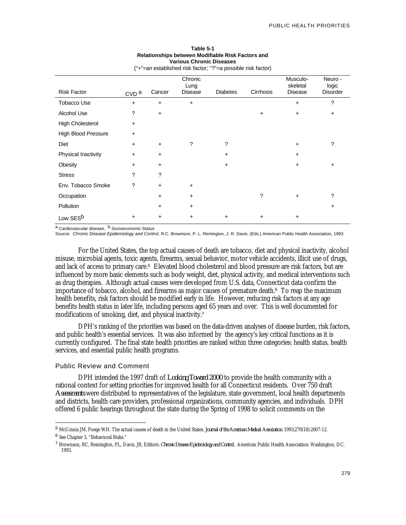| ("+"=an established risk factor; "?"=a possible risk factor) |                  |           |                            |                 |           |                                        |                                     |
|--------------------------------------------------------------|------------------|-----------|----------------------------|-----------------|-----------|----------------------------------------|-------------------------------------|
| <b>Risk Factor</b>                                           | CVD <sup>a</sup> | Cancer    | Chronic<br>Lung<br>Disease | <b>Diabetes</b> | Cirrhosis | Musculo-<br>skeletal<br><b>Disease</b> | Neuro -<br>logic<br><b>Disorder</b> |
| Tobacco Use                                                  | $+$              | $\ddot{}$ | $\ddot{}$                  |                 |           | $\ddot{}$                              | ?                                   |
| Alcohol Use                                                  | ?                | $\ddot{}$ |                            |                 | +         | $\ddot{}$                              | $\ddot{}$                           |
| <b>High Cholesterol</b>                                      | $\ddot{}$        |           |                            |                 |           |                                        |                                     |
| <b>High Blood Pressure</b>                                   | $+$              |           |                            |                 |           |                                        |                                     |
| Diet                                                         | $\ddot{}$        | $\ddot{}$ | ?                          | ?               |           | $+$                                    | ?                                   |
| Physical Inactivity                                          | $\ddot{}$        | $\ddot{}$ |                            | +               |           | $+$                                    |                                     |
| Obesity                                                      | +                | $\ddot{}$ |                            | +               |           | +                                      | $\ddot{}$                           |
| <b>Stress</b>                                                | ?                | ?         |                            |                 |           |                                        |                                     |
| Env. Tobacco Smoke                                           | ?                | $\ddot{}$ | $\ddot{}$                  |                 |           |                                        |                                     |
| Occupation                                                   |                  | $\ddot{}$ | $\ddot{}$                  |                 | ?         | ÷                                      | ?                                   |
| Pollution                                                    |                  | $\ddot{}$ | $\ddot{}$                  |                 |           |                                        | $\ddot{}$                           |
| Low SES <sup>b</sup>                                         | +                | $\ddot{}$ | $\ddot{}$                  | +               | +         | +                                      |                                     |

#### **Table 5-1 Relationships between Modifiable Risk Factors and Various Chronic Diseases**

a Cardiovascular disease, <sup>b</sup> Socioeconomic Status

Source: *Chronic Disease Epidemiology and Control*, R.C. Brownson, P. L. Remington, J. R. Davis, (Eds.) American Public Health Association, 1993

For the United States, the top actual causes of death are tobacco, diet and physical inactivity, alcohol misuse, microbial agents, toxic agents, firearms, sexual behavior, motor vehicle accidents, illicit use of drugs, and lack of access to primary care.<sup>5</sup> Elevated blood cholesterol and blood pressure are risk factors, but are influenced by more basic elements such as body weight, diet, physical activity, and medical interventions such as drug therapies. Although actual causes were developed from U.S. data, Connecticut data confirm the importance of tobacco, alcohol, and firearms as major causes of premature death.<sup>6</sup> To reap the maximum health benefits, risk factors should be modified early in life. However, reducing risk factors at any age benefits health status in later life, including persons aged 65 years and over. This is well documented for modifications of smoking, diet, and physical inactivity.<sup>7</sup>

DPH's ranking of the priorities was based on the data-driven analyses of disease burden, risk factors, and public health's essential services. It was also informed by the agency's key critical functions as it is currently configured. The final state health priorities are ranked within three categories: health status, health services, and essential public health programs.

#### Public Review and Comment

-

DPH intended the 1997 draft of *Looking Toward 2000* to provide the health community with a rational context for setting priorities for improved health for all Connecticut residents. Over 750 draft *Assessments* were distributed to representatives of the legislature, state government, local health departments and districts, health care providers, professional organizations, community agencies, and individuals. DPH offered 6 public hearings throughout the state during the Spring of 1998 to solicit comments on the

<sup>5</sup> McGinnis JM, Foege WH. The actual causes of death in the United States. *Journal of the American Medical Association.* 1993;270(18):2007-12. 6 See Chapter 3, "Behavioral Risks."

<sup>7</sup> Brownson, RC, Remington, PL, Davis, JR, Editors. *Chronic Disease Epidemiology and Control.* American Public Health Association: Washington, DC. 1993.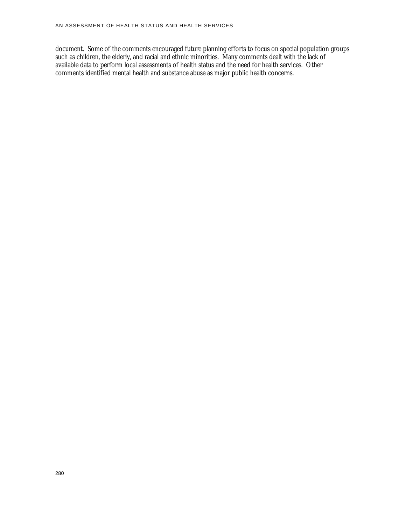document. Some of the comments encouraged future planning efforts to focus on special population groups such as children, the elderly, and racial and ethnic minorities. Many comments dealt with the lack of available data to perform local assessments of health status and the need for health services. Other comments identified mental health and substance abuse as major public health concerns.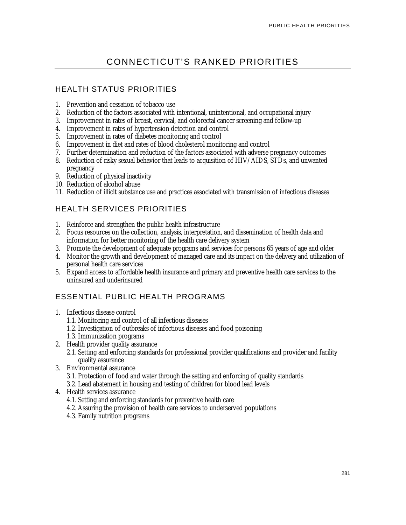## CONNECTICUT'S RANKED PRIORITIES

## HEALTH STATUS PRIORITIES

- 1. Prevention and cessation of tobacco use
- 2. Reduction of the factors associated with intentional, unintentional, and occupational injury
- 3. Improvement in rates of breast, cervical, and colorectal cancer screening and follow-up
- 4. Improvement in rates of hypertension detection and control
- 5. Improvement in rates of diabetes monitoring and control
- 6. Improvement in diet and rates of blood cholesterol monitoring and control
- 7. Further determination and reduction of the factors associated with adverse pregnancy outcomes
- 8. Reduction of risky sexual behavior that leads to acquisition of HIV/AIDS, STDs, and unwanted pregnancy
- 9. Reduction of physical inactivity
- 10. Reduction of alcohol abuse
- 11. Reduction of illicit substance use and practices associated with transmission of infectious diseases

## HEALTH SERVICES PRIORITIES

- 1. Reinforce and strengthen the public health infrastructure
- 2. Focus resources on the collection, analysis, interpretation, and dissemination of health data and information for better monitoring of the health care delivery system
- 3. Promote the development of adequate programs and services for persons 65 years of age and older
- 4. Monitor the growth and development of managed care and its impact on the delivery and utilization of personal health care services
- 5. Expand access to affordable health insurance and primary and preventive health care services to the uninsured and underinsured

## ESSENTIAL PUBLIC HEALTH PROGRAMS

- 1. Infectious disease control
	- 1.1. Monitoring and control of all infectious diseases
	- 1.2. Investigation of outbreaks of infectious diseases and food poisoning
	- 1.3. Immunization programs
- 2. Health provider quality assurance
	- 2.1. Setting and enforcing standards for professional provider qualifications and provider and facility quality assurance
- 3. Environmental assurance
	- 3.1. Protection of food and water through the setting and enforcing of quality standards 3.2. Lead abatement in housing and testing of children for blood lead levels
- 4. Health services assurance
	- 4.1. Setting and enforcing standards for preventive health care
	- 4.2. Assuring the provision of health care services to underserved populations
	- 4.3. Family nutrition programs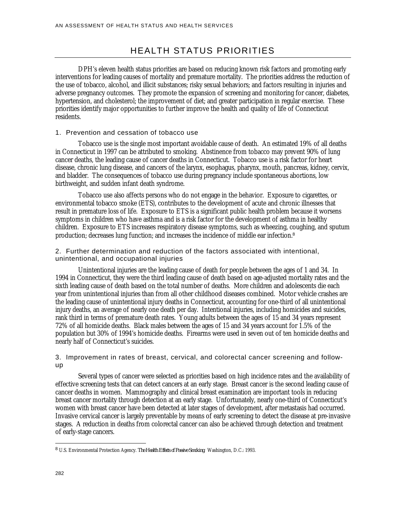## HEALTH STATUS PRIORITIES

DPH's eleven health status priorities are based on reducing known risk factors and promoting early interventions for leading causes of mortality and premature mortality. The priorities address the reduction of the use of tobacco, alcohol, and illicit substances; risky sexual behaviors; and factors resulting in injuries and adverse pregnancy outcomes. They promote the expansion of screening and monitoring for cancer, diabetes, hypertension, and cholesterol; the improvement of diet; and greater participation in regular exercise. These priorities identify major opportunities to further improve the health and quality of life of Connecticut residents.

#### 1. Prevention and cessation of tobacco use

Tobacco use is the single most important avoidable cause of death. An estimated 19% of all deaths in Connecticut in 1997 can be attributed to smoking. Abstinence from tobacco may prevent 90% of lung cancer deaths, the leading cause of cancer deaths in Connecticut. Tobacco use is a risk factor for heart disease, chronic lung disease, and cancers of the larynx, esophagus, pharynx, mouth, pancreas, kidney, cervix, and bladder. The consequences of tobacco use during pregnancy include spontaneous abortions, low birthweight, and sudden infant death syndrome.

Tobacco use also affects persons who do not engage in the behavior. Exposure to cigarettes, or environmental tobacco smoke (ETS), contributes to the development of acute and chronic illnesses that result in premature loss of life. Exposure to ETS is a significant public health problem because it worsens symptoms in children who have asthma and is a risk factor for the development of asthma in healthy children. Exposure to ETS increases respiratory disease symptoms, such as wheezing, coughing, and sputum production; decreases lung function; and increases the incidence of middle ear infection.<sup>8</sup>

2. Further determination and reduction of the factors associated with intentional, unintentional, and occupational injuries

Unintentional injuries are the leading cause of death for people between the ages of 1 and 34. In 1994 in Connecticut, they were the third leading cause of death based on age-adjusted mortality rates and the sixth leading cause of death based on the total number of deaths. More children and adolescents die each year from unintentional injuries than from all other childhood diseases combined. Motor vehicle crashes are the leading cause of unintentional injury deaths in Connecticut, accounting for one-third of all unintentional injury deaths, an average of nearly one death per day. Intentional injuries, including homicides and suicides, rank third in terms of premature death rates. Young adults between the ages of 15 and 34 years represent 72% of all homicide deaths. Black males between the ages of 15 and 34 years account for 1.5% of the population but 30% of 1994's homicide deaths. Firearms were used in seven out of ten homicide deaths and nearly half of Connecticut's suicides.

3. Improvement in rates of breast, cervical, and colorectal cancer screening and followup

Several types of cancer were selected as priorities based on high incidence rates and the availability of effective screening tests that can detect cancers at an early stage. Breast cancer is the second leading cause of cancer deaths in women. Mammography and clinical breast examination are important tools in reducing breast cancer mortality through detection at an early stage. Unfortunately, nearly one-third of Connecticut's women with breast cancer have been detected at later stages of development, after metastasis had occurred. Invasive cervical cancer is largely preventable by means of early screening to detect the disease at pre-invasive stages. A reduction in deaths from colorectal cancer can also be achieved through detection and treatment of early-stage cancers.

<u>.</u>

<sup>8</sup> U.S. Environmental Protection Agency. *The Health Effects of Passive Smoking*. Washington, D.C.: 1993.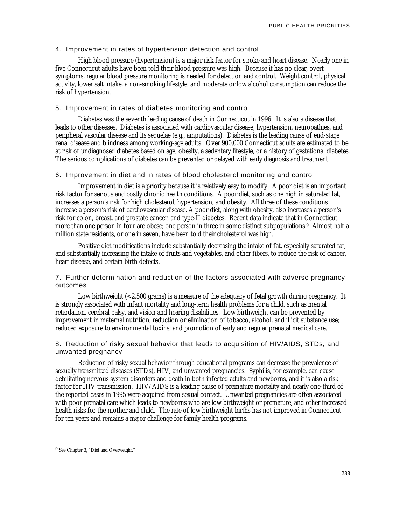#### 4. Improvement in rates of hypertension detection and control

High blood pressure (hypertension) is a major risk factor for stroke and heart disease. Nearly one in five Connecticut adults have been told their blood pressure was high. Because it has no clear, overt symptoms, regular blood pressure monitoring is needed for detection and control. Weight control, physical activity, lower salt intake, a non-smoking lifestyle, and moderate or low alcohol consumption can reduce the risk of hypertension.

#### 5. Improvement in rates of diabetes monitoring and control

Diabetes was the seventh leading cause of death in Connecticut in 1996. It is also a disease that leads to other diseases. Diabetes is associated with cardiovascular disease, hypertension, neuropathies, and peripheral vascular disease and its sequelae (e.g., amputations). Diabetes is the leading cause of end-stage renal disease and blindness among working-age adults. Over 900,000 Connecticut adults are estimated to be at risk of undiagnosed diabetes based on age, obesity, a sedentary lifestyle, or a history of gestational diabetes. The serious complications of diabetes can be prevented or delayed with early diagnosis and treatment.

#### 6. Improvement in diet and in rates of blood cholesterol monitoring and control

Improvement in diet is a priority because it is relatively easy to modify. A poor diet is an important risk factor for serious and costly chronic health conditions. A poor diet, such as one high in saturated fat, increases a person's risk for high cholesterol, hypertension, and obesity. All three of these conditions increase a person's risk of cardiovascular disease. A poor diet, along with obesity, also increases a person's risk for colon, breast, and prostate cancer, and type-II diabetes. Recent data indicate that in Connecticut more than one person in four are obese; one person in three in some distinct subpopulations.<sup>9</sup> Almost half a million state residents, or one in seven, have been told their cholesterol was high.

Positive diet modifications include substantially decreasing the intake of fat, especially saturated fat, and substantially increasing the intake of fruits and vegetables, and other fibers, to reduce the risk of cancer, heart disease, and certain birth defects.

7. Further determination and reduction of the factors associated with adverse pregnancy outcomes

Low birthweight (<2,500 grams) is a measure of the adequacy of fetal growth during pregnancy. It is strongly associated with infant mortality and long-term health problems for a child, such as mental retardation, cerebral palsy, and vision and hearing disabilities. Low birthweight can be prevented by improvement in maternal nutrition; reduction or elimination of tobacco, alcohol, and illicit substance use; reduced exposure to environmental toxins; and promotion of early and regular prenatal medical care.

8. Reduction of risky sexual behavior that leads to acquisition of HIV/AIDS, STDs, and unwanted pregnancy

Reduction of risky sexual behavior through educational programs can decrease the prevalence of sexually transmitted diseases (STDs), HIV, and unwanted pregnancies. Syphilis, for example, can cause debilitating nervous system disorders and death in both infected adults and newborns, and it is also a risk factor for HIV transmission. HIV/AIDS is a leading cause of premature mortality and nearly one-third of the reported cases in 1995 were acquired from sexual contact. Unwanted pregnancies are often associated with poor prenatal care which leads to newborns who are low birthweight or premature, and other increased health risks for the mother and child. The rate of low birthweight births has not improved in Connecticut for ten years and remains a major challenge for family health programs.

<u>.</u>

<sup>&</sup>lt;sup>9</sup> See Chapter 3, "Diet and Overweight."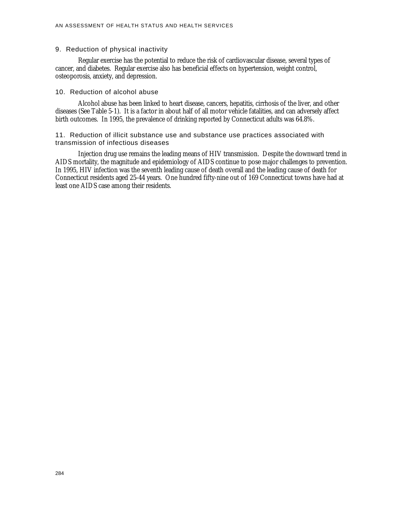#### 9. Reduction of physical inactivity

Regular exercise has the potential to reduce the risk of cardiovascular disease, several types of cancer, and diabetes. Regular exercise also has beneficial effects on hypertension, weight control, osteoporosis, anxiety, and depression.

#### 10. Reduction of alcohol abuse

Alcohol abuse has been linked to heart disease, cancers, hepatitis, cirrhosis of the liver, and other diseases (See Table 5-1). It is a factor in about half of all motor vehicle fatalities, and can adversely affect birth outcomes. In 1995, the prevalence of drinking reported by Connecticut adults was 64.8%.

11. Reduction of illicit substance use and substance use practices associated with transmission of infectious diseases

Injection drug use remains the leading means of HIV transmission. Despite the downward trend in AIDS mortality, the magnitude and epidemiology of AIDS continue to pose major challenges to prevention. In 1995, HIV infection was the seventh leading cause of death overall and the leading cause of death for Connecticut residents aged 25-44 years. One hundred fifty-nine out of 169 Connecticut towns have had at least one AIDS case among their residents.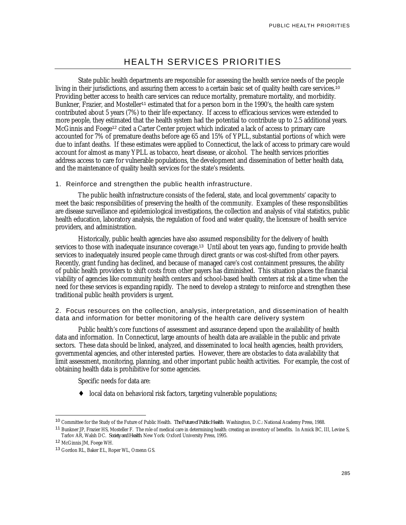## HEALTH SERVICES PRIORITIES

State public health departments are responsible for assessing the health service needs of the people living in their jurisdictions, and assuring them access to a certain basic set of quality health care services.<sup>10</sup> Providing better access to health care services can reduce mortality, premature mortality, and morbidity. Bunkner, Frazier, and Mosteller<sup>11</sup> estimated that for a person born in the 1990's, the health care system contributed about 5 years (7%) to their life expectancy. If access to efficacious services were extended to more people, they estimated that the health system had the potential to contribute up to 2.5 additional years. McGinnis and Foege<sup>12</sup> cited a Carter Center project which indicated a lack of access to primary care accounted for 7% of premature deaths before age 65 and 15% of YPLL, substantial portions of which were due to infant deaths. If these estimates were applied to Connecticut, the lack of access to primary care would account for almost as many YPLL as tobacco, heart disease, or alcohol. The health services priorities address access to care for vulnerable populations, the development and dissemination of better health data, and the maintenance of quality health services for the state's residents.

1. Reinforce and strengthen the public health infrastructure.

The public health infrastructure consists of the federal, state, and local governments' capacity to meet the basic responsibilities of preserving the health of the community. Examples of these responsibilities are disease surveillance and epidemiological investigations, the collection and analysis of vital statistics, public health education, laboratory analysis, the regulation of food and water quality, the licensure of health service providers, and administration.

Historically, public health agencies have also assumed responsibility for the delivery of health services to those with inadequate insurance coverage.<sup>13</sup> Until about ten years ago, funding to provide health services to inadequately insured people came through direct grants or was cost-shifted from other payers. Recently, grant funding has declined, and because of managed care's cost containment pressures, the ability of public health providers to shift costs from other payers has diminished. This situation places the financial viability of agencies like community health centers and school-based health centers at risk at a time when the need for these services is expanding rapidly. The need to develop a strategy to reinforce and strengthen these traditional public health providers is urgent.

2. Focus resources on the collection, analysis, interpretation, and dissemination of health data and information for better monitoring of the health care delivery system

Public health's core functions of assessment and assurance depend upon the availability of health data and information. In Connecticut, large amounts of health data are available in the public and private sectors. These data should be linked, analyzed, and disseminated to local health agencies, health providers, governmental agencies, and other interested parties. However, there are obstacles to data availability that limit assessment, monitoring, planning, and other important public health activities. For example, the cost of obtaining health data is prohibitive for some agencies.

Specific needs for data are:

local data on behavioral risk factors, targeting vulnerable populations;

<sup>10</sup> Committee for the Study of the Future of Public Health. *The Future of Public Health*. Washington, D.C.: National Academy Press, 1988.

<sup>&</sup>lt;sup>11</sup> Bunkner JP, Frazier HS, Mosteller F. The role of medical care in determining health: creating an inventory of benefits. In Amick BC, III, Levine S, Tarlov AR, Walsh DC. *Society and Health*. New York: Oxford University Press, 1995.

<sup>12</sup> McGinnis JM, Foege WH.

<sup>13</sup> Gordon RL, Baker EL, Roper WL, Omenn GS.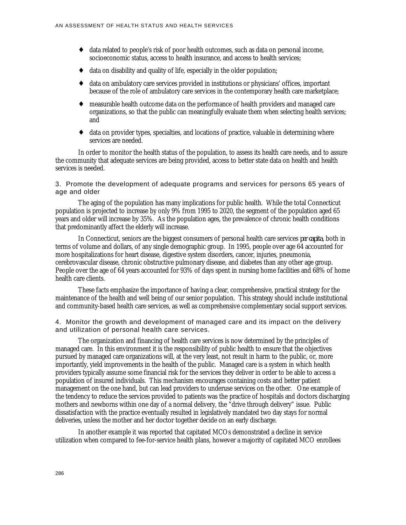- data related to people's risk of poor health outcomes, such as data on personal income, socioeconomic status, access to health insurance, and access to health services;
- data on disability and quality of life, especially in the older population;
- ♦ data on ambulatory care services provided in institutions or physicians' offices, important because of the role of ambulatory care services in the contemporary health care marketplace;
- measurable health outcome data on the performance of health providers and managed care organizations, so that the public can meaningfully evaluate them when selecting health services; and
- data on provider types, specialties, and locations of practice, valuable in determining where services are needed.

In order to monitor the health status of the population, to assess its health care needs, and to assure the community that adequate services are being provided, access to better state data on health and health services is needed.

3. Promote the development of adequate programs and services for persons 65 years of age and older

The aging of the population has many implications for public health. While the total Connecticut population is projected to increase by only 9% from 1995 to 2020, the segment of the population aged 65 years and older will increase by 35%. As the population ages, the prevalence of chronic health conditions that predominantly affect the elderly will increase.

In Connecticut, seniors are the biggest consumers of personal health care services *per capita*, both in terms of volume and dollars, of any single demographic group. In 1995, people over age 64 accounted for more hospitalizations for heart disease, digestive system disorders, cancer, injuries, pneumonia, cerebrovascular disease, chronic obstructive pulmonary disease, and diabetes than any other age group. People over the age of 64 years accounted for 93% of days spent in nursing home facilities and 68% of home health care clients.

These facts emphasize the importance of having a clear, comprehensive, practical strategy for the maintenance of the health and well being of our senior population. This strategy should include institutional and community-based health care services, as well as comprehensive complementary social support services.

4. Monitor the growth and development of managed care and its impact on the delivery and utilization of personal health care services.

The organization and financing of health care services is now determined by the principles of managed care. In this environment it is the responsibility of public health to ensure that the objectives pursued by managed care organizations will, at the very least, not result in harm to the public, or, more importantly, yield improvements in the health of the public. Managed care is a system in which health providers typically assume some financial risk for the services they deliver in order to be able to access a population of insured individuals. This mechanism encourages containing costs and better patient management on the one hand, but can lead providers to underuse services on the other. One example of the tendency to reduce the services provided to patients was the practice of hospitals and doctors discharging mothers and newborns within one day of a normal delivery, the "drive through delivery" issue. Public dissatisfaction with the practice eventually resulted in legislatively mandated two day stays for normal deliveries, unless the mother and her doctor together decide on an early discharge.

In another example it was reported that capitated MCOs demonstrated a decline in service utilization when compared to fee-for-service health plans, however a majority of capitated MCO enrollees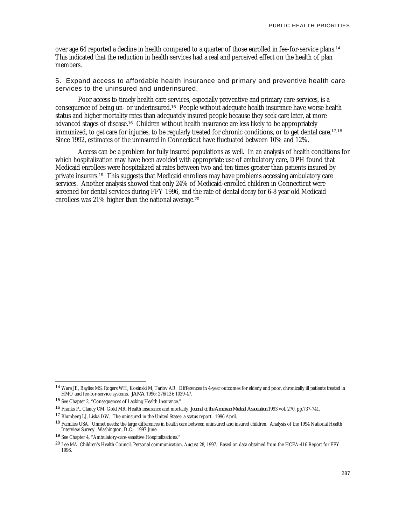over age 64 reported a decline in health compared to a quarter of those enrolled in fee-for-service plans.<sup>14</sup> This indicated that the reduction in health services had a real and perceived effect on the health of plan members.

5. Expand access to affordable health insurance and primary and preventive health care services to the uninsured and underinsured.

Poor access to timely health care services, especially preventive and primary care services, is a consequence of being un- or underinsured.<sup>15</sup> People without adequate health insurance have worse health status and higher mortality rates than adequately insured people because they seek care later, at more advanced stages of disease.<sup>16</sup> Children without health insurance are less likely to be appropriately immunized, to get care for injuries, to be regularly treated for chronic conditions, or to get dental care.<sup>17,18</sup> Since 1992, estimates of the uninsured in Connecticut have fluctuated between 10% and 12%.

Access can be a problem for fully insured populations as well. In an analysis of health conditions for which hospitalization may have been avoided with appropriate use of ambulatory care, DPH found that Medicaid enrollees were hospitalized at rates between two and ten times greater than patients insured by private insurers.<sup>19</sup> This suggests that Medicaid enrollees may have problems accessing ambulatory care services. Another analysis showed that only 24% of Medicaid-enrolled children in Connecticut were screened for dental services during FFY 1996, and the rate of dental decay for 6-8 year old Medicaid enrollees was 21% higher than the national average.<sup>20</sup>

<sup>14</sup> Ware JE, Bayliss MS, Rogers WH, Kosinski M, Tarlov AR. Differences in 4-year outcomes for elderly and poor, chronically ill patients treated in HMO and fee-for-service systems. *JAMA* 1996; 276(13): 1039-47.

<sup>15</sup> See Chapter 2, "Consequences of Lacking Health Insurance."

<sup>16</sup> Franks P., Clancy CM, Gold MR. Health insurance and mortality. *Journal of the American Medical Association* 1993 vol. 270, pp.737-741.

<sup>17</sup> Blumberg LJ, Liska DW. The uninsured in the United States: a status report. 1996 April.

<sup>&</sup>lt;sup>18</sup> Families USA. Unmet needs: the large differences in health care between uninsured and insured children. Analysis of the 1994 National Health Interview Survey. Washington, D.C.: 1997 June.

<sup>19</sup> See Chapter 4, "Ambulatory-care-sensitive Hospitalizations."

<sup>&</sup>lt;sup>20</sup> Lee MA. Children's Health Council. Personal communication. August 28, 1997. Based on data obtained from the HCFA-416 Report for FFY 1996.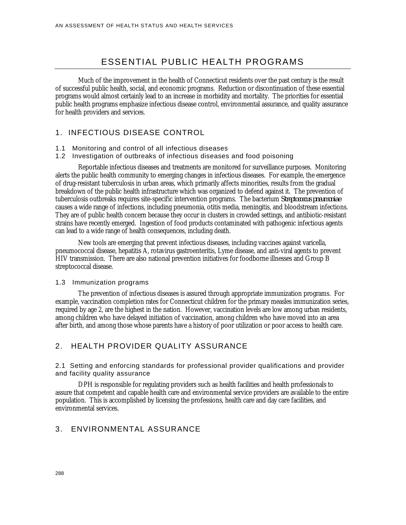## ESSENTIAL PUBLIC HEALTH PROGRAMS

Much of the improvement in the health of Connecticut residents over the past century is the result of successful public health, social, and economic programs. Reduction or discontinuation of these essential programs would almost certainly lead to an increase in morbidity and mortality. The priorities for essential public health programs emphasize infectious disease control, environmental assurance, and quality assurance for health providers and services.

#### 1. INFECTIOUS DISEASE CONTROL

- 1.1 Monitoring and control of all infectious diseases
- 1.2 Investigation of outbreaks of infectious diseases and food poisoning

Reportable infectious diseases and treatments are monitored for surveillance purposes. Monitoring alerts the public health community to emerging changes in infectious diseases. For example, the emergence of drug-resistant tuberculosis in urban areas, which primarily affects minorities, results from the gradual breakdown of the public health infrastructure which was organized to defend against it. The prevention of tuberculosis outbreaks requires site-specific intervention programs. The bacterium *Streptococcus pneumoniae* causes a wide range of infections, including pneumonia, otitis media, meningitis, and bloodstream infections. They are of public health concern because they occur in clusters in crowded settings, and antibiotic-resistant strains have recently emerged. Ingestion of food products contaminated with pathogenic infectious agents can lead to a wide range of health consequences, including death.

New tools are emerging that prevent infectious diseases, including vaccines against varicella, pneumococcal disease, hepatitis A, rotavirus gastroenteritis, Lyme disease, and anti-viral agents to prevent HIV transmission. There are also national prevention initiatives for foodborne illnesses and Group B streptococcal disease.

#### 1.3 Immunization programs

The prevention of infectious diseases is assured through appropriate immunization programs. For example, vaccination completion rates for Connecticut children for the primary measles immunization series, required by age 2, are the highest in the nation. However, vaccination levels are low among urban residents, among children who have delayed initiation of vaccination, among children who have moved into an area after birth, and among those whose parents have a history of poor utilization or poor access to health care.

#### 2. HEALTH PROVIDER QUALITY ASSURANCE

2.1 Setting and enforcing standards for professional provider qualifications and provider and facility quality assurance

DPH is responsible for regulating providers such as health facilities and health professionals to assure that competent and capable health care and environmental service providers are available to the entire population. This is accomplished by licensing the professions, health care and day care facilities, and environmental services.

#### 3. ENVIRONMENTAL ASSURANCE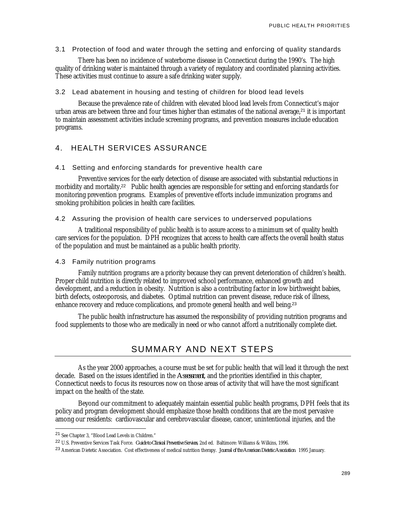3.1 Protection of food and water through the setting and enforcing of quality standards

There has been no incidence of waterborne disease in Connecticut during the 1990's. The high quality of drinking water is maintained through a variety of regulatory and coordinated planning activities. These activities must continue to assure a safe drinking water supply.

#### 3.2 Lead abatement in housing and testing of children for blood lead levels

Because the prevalence rate of children with elevated blood lead levels from Connecticut's major urban areas are between three and four times higher than estimates of the national average,<sup>21</sup> it is important to maintain assessment activities include screening programs, and prevention measures include education programs.

#### 4. HEALTH SERVICES ASSURANCE

#### 4.1 Setting and enforcing standards for preventive health care

Preventive services for the early detection of disease are associated with substantial reductions in morbidity and mortality.<sup>22</sup> Public health agencies are responsible for setting and enforcing standards for monitoring prevention programs. Examples of preventive efforts include immunization programs and smoking prohibition policies in health care facilities.

#### 4.2 Assuring the provision of health care services to underserved populations

A traditional responsibility of public health is to assure access to a minimum set of quality health care services for the population. DPH recognizes that access to health care affects the overall health status of the population and must be maintained as a public health priority.

#### 4.3 Family nutrition programs

Family nutrition programs are a priority because they can prevent deterioration of children's health. Proper child nutrition is directly related to improved school performance, enhanced growth and development, and a reduction in obesity. Nutrition is also a contributing factor in low birthweight babies, birth defects, osteoporosis, and diabetes. Optimal nutrition can prevent disease, reduce risk of illness, enhance recovery and reduce complications, and promote general health and well being.<sup>23</sup>

The public health infrastructure has assumed the responsibility of providing nutrition programs and food supplements to those who are medically in need or who cannot afford a nutritionally complete diet.

### SUMMARY AND NEXT STEPS

As the year 2000 approaches, a course must be set for public health that will lead it through the next decade. Based on the issues identified in the *Assessment*, and the priorities identified in this chapter, Connecticut needs to focus its resources now on those areas of activity that will have the most significant impact on the health of the state.

Beyond our commitment to adequately maintain essential public health programs, DPH feels that its policy and program development should emphasize those health conditions that are the most pervasive among our residents: cardiovascular and cerebrovascular disease, cancer, unintentional injuries, and the

<sup>21</sup> See Chapter 3, "Blood Lead Levels in Children."

<sup>22</sup> U.S. Preventive Services Task Force. *Guide to Clinical Preventive Services*, 2nd ed. Baltimore: Williams & Wilkins, 1996.

<sup>23</sup> American Dietetic Association. Cost effectiveness of medical nutrition therapy. *Journal of the American Dietetic Association*. 1995 January.